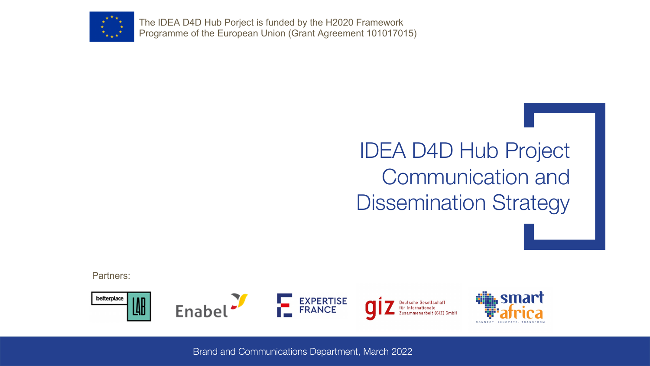

The IDEA D4D Hub Porject is funded by the H2020 Framework Programme of the European Union (Grant Agreement 101017015)

# IDEA D4D Hub Project Communication and Dissemination Strategy

Partners:

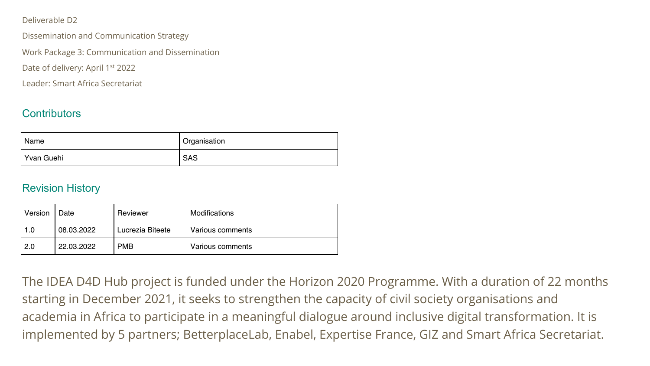#### Deliverable D2

Dissemination and Communication Strategy

Work Package 3: Communication and Dissemination

Date of delivery: April 1<sup>st</sup> 2022

Leader: Smart Africa Secretariat

#### **Contributors**

| ' Name     | <sup>I</sup> Organisation |
|------------|---------------------------|
| Yvan Guehi | <b>SAS</b>                |

#### Revision History

| Version | Date       | Reviewer         | Modifications    |
|---------|------------|------------------|------------------|
| 1.0     | 08.03.2022 | Lucrezia Biteete | Various comments |
| 2.0     | 22.03.2022 | <b>PMB</b>       | Various comments |

The IDEA D4D Hub project is funded under the Horizon 2020 Programme. With a duration of 22 months starting in December 2021, it seeks to strengthen the capacity of civil society organisations and academia in Africa to participate in a meaningful dialogue around inclusive digital transformation. It is implemented by 5 partners; BetterplaceLab, Enabel, Expertise France, GIZ and Smart Africa Secretariat.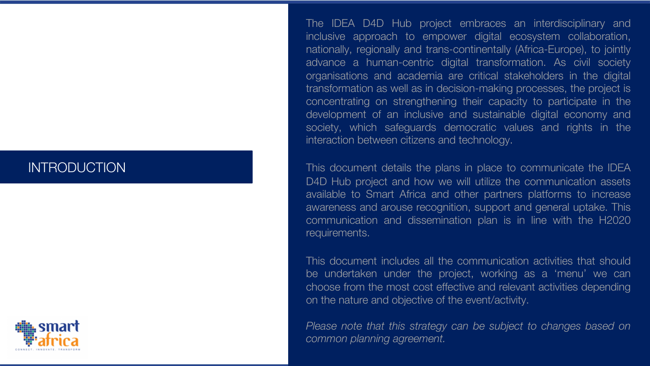### INTRODUCTION



The IDEA D4D Hub project embraces an interdisciplinary and inclusive approach to empower digital ecosystem collaboration, nationally, regionally and trans-continentally (Africa-Europe), to jointly advance a human-centric digital transformation. As civil society organisations and academia are critical stakeholders in the digital transformation as well as in decision-making processes, the project is concentrating on strengthening their capacity to participate in the development of an inclusive and sustainable digital economy and society, which safeguards democratic values and rights in the interaction between citizens and technology.

This document details the plans in place to communicate the IDEA D4D Hub project and how we will utilize the communication assets available to Smart Africa and other partners platforms to increase awareness and arouse recognition, support and general uptake. This communication and dissemination plan is in line with the H2020 requirements.

This document includes all the communication activities that should be undertaken under the project, working as a 'menu' we can choose from the most cost effective and relevant activities depending on the nature and objective of the event/activity.

*Please note that this strategy can be subject to changes based on common planning agreement.*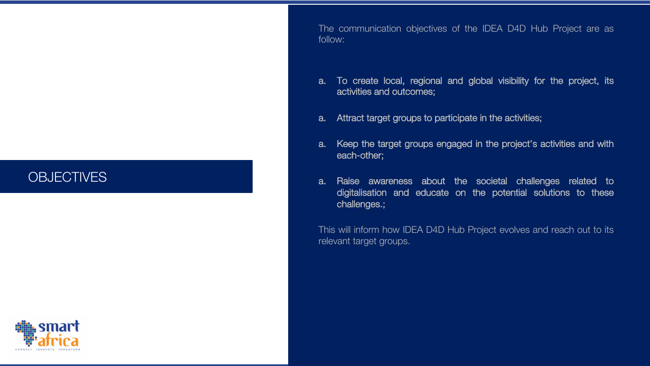### **OBJECTIVES**



The communication objectives of the IDEA D4D Hub Project are as follow:

- a. To create local, regional and global visibility for the project, its activities and outcomes;
- a. Attract target groups to participate in the activities;
- a. Keep the target groups engaged in the project's activities and with each-other;
- a. Raise awareness about the societal challenges related to digitalisation and educate on the potential solutions to these challenges.;

This will inform how IDEA D4D Hub Project evolves and reach out to its relevant target groups.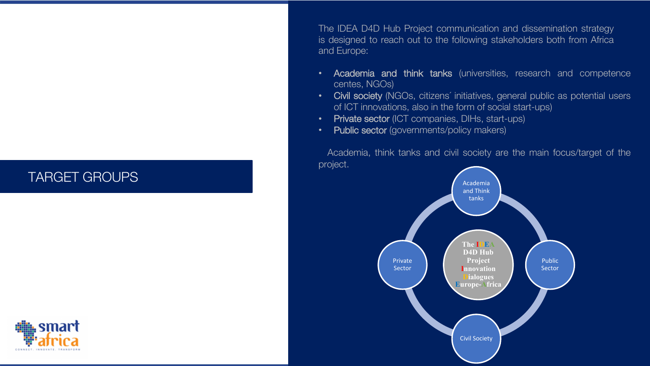## TARGET GROUPS

CONNECT, INNOVATE, TRANSFOR

The IDEA D4D Hub Project communication and dissemination strategy is designed to reach out to the following stakeholders both from Africa and Europe:

- Academia and think tanks (universities, research and competence centes, NGOs)
- Civil society (NGOs, citizens' initiatives, general public as potential users of ICT innovations, also in the form of social start-ups)
- Private sector (ICT companies, DIHs, start-ups)
- Public sector (governments/policy makers)

 Academia, think tanks and civil society are the main focus/target of the project.

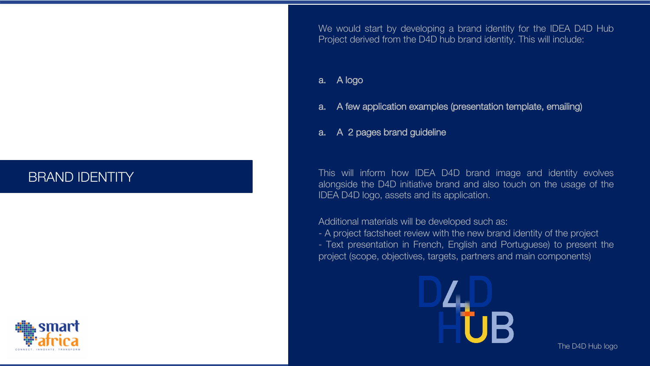# BRAND IDENTITY



We would start by developing a brand identity for the IDEA D4D Hub Project derived from the D4D hub brand identity. This will include:

#### a. A logo

a. A few application examples (presentation template, emailing)

#### a. A 2 pages brand guideline

This will inform how IDEA D4D brand image and identity evolves alongside the D4D initiative brand and also touch on the usage of the IDEA D4D logo, assets and its application.

Additional materials will be developed such as:

- A project factsheet review with the new brand identity of the project - Text presentation in French, English and Portuguese) to present the project (scope, objectives, targets, partners and main components)



The D4D Hub logo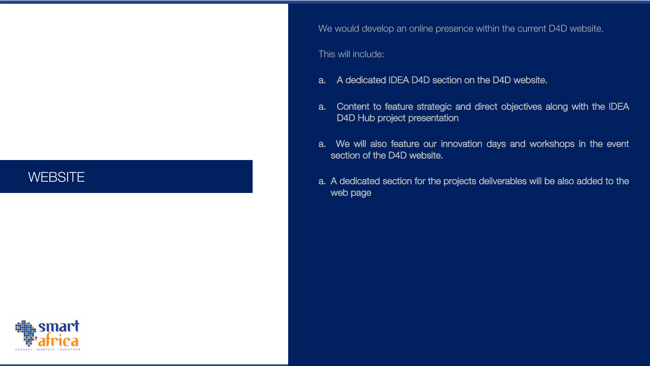### **WEBSITE**

We would develop an online presence within the current D4D website.

#### This will include:

- a. A dedicated IDEA D4D section on the D4D website.
- a. Content to feature strategic and direct objectives along with the IDEA D4D Hub project presentation
- a. We will also feature our innovation days and workshops in the event section of the D4D website.
- a. A dedicated section for the projects deliverables will be also added to the web page

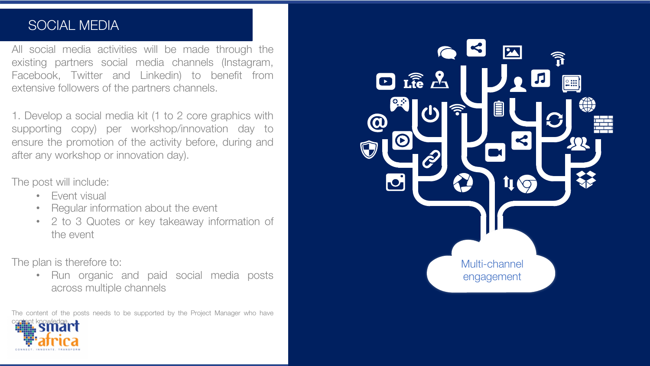### SOCIAL MEDIA

All social media activities will be made through the existing partners social media channels (Instagram, Facebook, Twitter and Linkedin) to benefit from extensive followers of the partners channels.

1. Develop a social media kit (1 to 2 core graphics with supporting copy) per workshop/innovation day to ensure the promotion of the activity before, during and after any workshop or innovation day).

#### The post will include:

- Event visual
- Regular information about the event
- 2 to 3 Quotes or key takeaway information of the event

The plan is therefore to:

• Run organic and paid social media posts across multiple channels

The content of the posts needs to be supported by the Project Manager who have



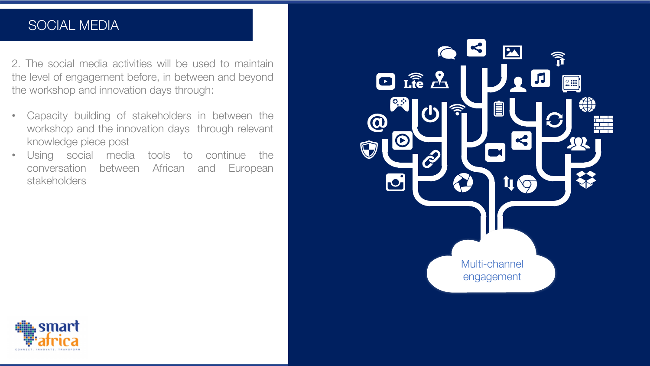# SOCIAL MEDIA

2. The social media activities will be used to maintain the level of engagement before, in between and beyond the workshop and innovation days through:

- Capacity building of stakeholders in between the workshop and the innovation days through relevant knowledge piece post
- Using social media tools to continue the conversation between African and European stakeholders



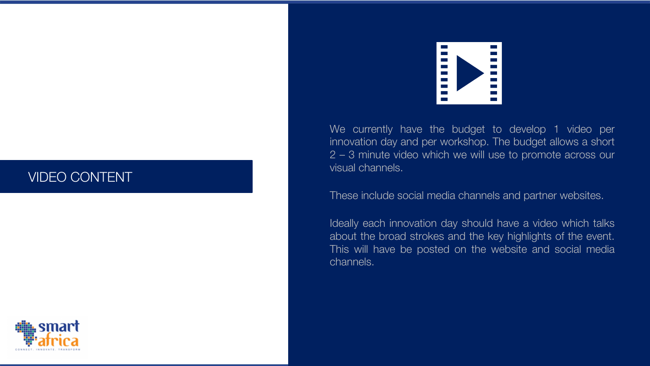### VIDEO CONTENT





We currently have the budget to develop 1 video per innovation day and per workshop . The budget allows a short 2 – 3 minute video which we will use to promote across our visual channels .

#### These include social media channels and partner websites .

Ideally each innovation day should have a video which talks about the broad strokes and the key highlights of the event . This will have be posted on the website and social media channels .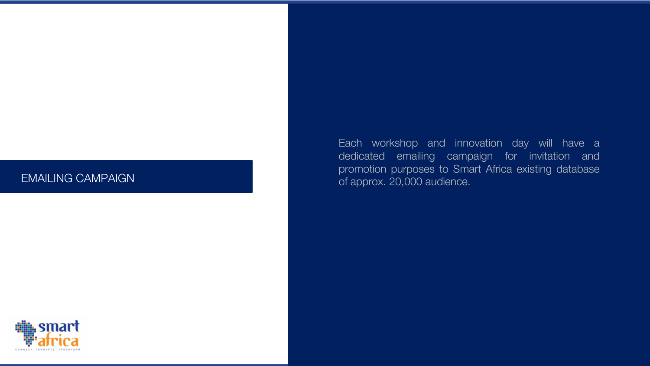#### EMAILING CAMPAIGN

Each workshop and innovation day will have a dedicated emailing campaign for invitation and promotion purposes to Smart Africa existing database of approx . 20 ,000 audience .

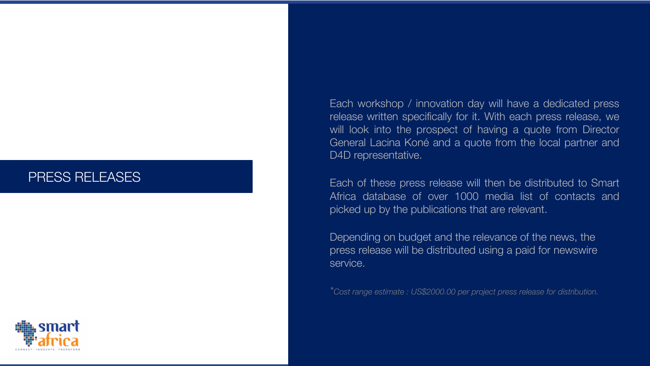### PRESS RELEASES



Each workshop / innovation day will have a dedicated press release written specifically for it. With each press release, we will look into the prospect of having a quote from Director General Lacina Koné and a quote from the local partner and D4D representative.

Each of these press release will then be distributed to Smart Africa database of over 1000 media list of contacts and picked up by the publications that are relevant.

Depending on budget and the relevance of the news, the press release will be distributed using a paid for newswire service.

*\*Cost range estimate : US\$2000.00 per project press release for distribution.*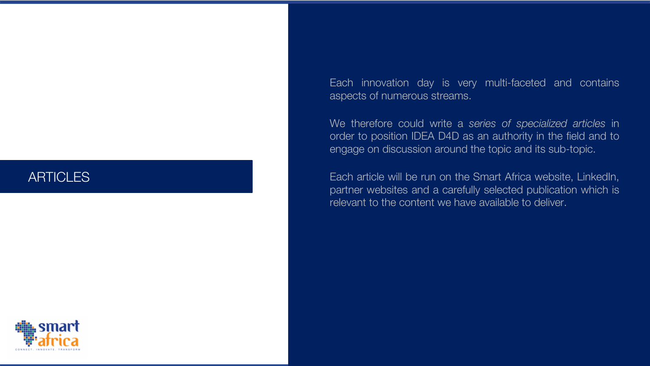### ARTICLES

Each innovation day is very multi-faceted and contains aspects of numerous streams.

We therefore could write a *series of specialized articles* in order to position IDEA D4D as an authority in the field and to engage on discussion around the topic and its sub-topic.

Each article will be run on the Smart Africa website, LinkedIn, partner websites and a carefully selected publication which is relevant to the content we have available to deliver.

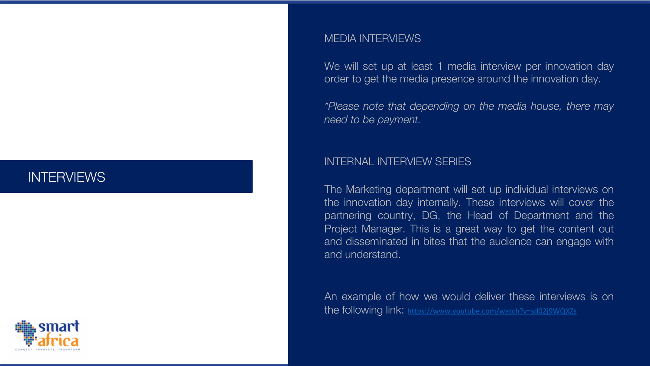# **INTERVIEWS**



#### **MEDIA INTERVIEW**

We will set up at I order to get the me

*\*Please note that depending on the media house, there may need* to be payment

#### **INTERNAL INTERV**

The Marketing dep the innovation day partnering country, Project Manager. T and disseminated in and understand .

An example of how the following link: htt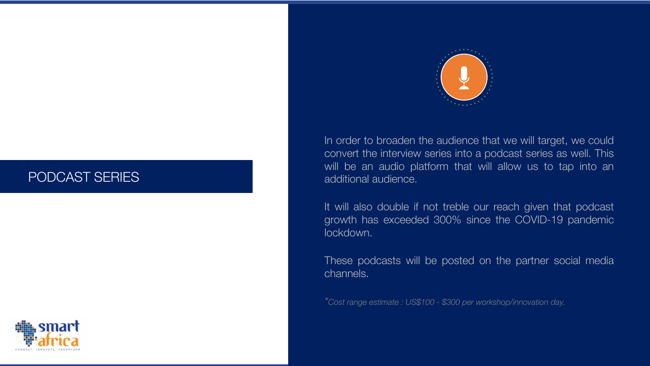### PODCAST SERIES





In order to broaden the audience that we will target, we could convert the interview series into a podcast series as well. This will be an audio platform that will allow us to tap into an additional audience.

It will also double if not treble our reach given that podcast growth has exceeded 300% since the COVID-19 pandemic lockdown.

These podcasts will be posted on the partner social media channels.

*\*Cost range estimate : US\$100 - \$300 per workshop/innovation day.*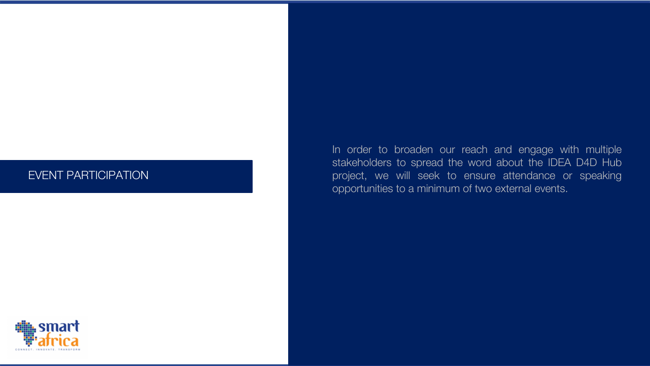#### EVENT PARTICIPATION

In order to broaden our reach and engage with multiple stakeholders to spread the word about the IDEA D4D Hub project, we will seek to ensure attendance or speaking opportunities to a minimum of two external events .

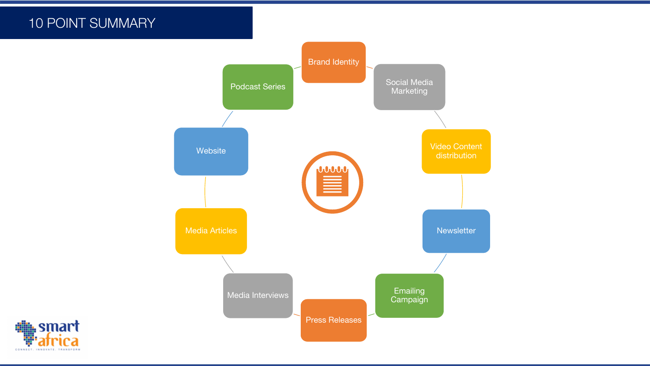# 10 POINT SUMMARY